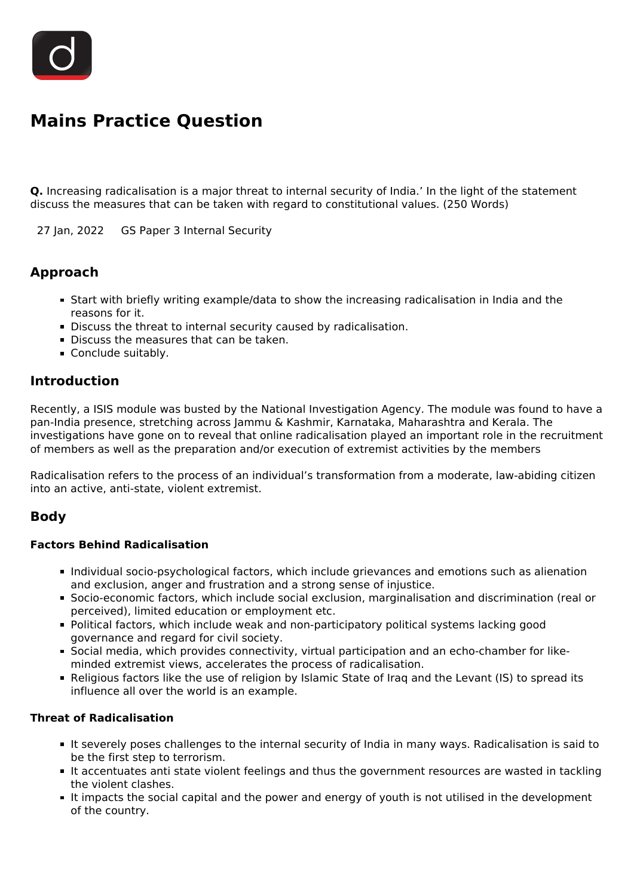

# **Mains Practice Question**

**Q.** Increasing radicalisation is a major threat to internal security of India.' In the light of the statement discuss the measures that can be taken with regard to constitutional values. (250 Words)

27 Jan, 2022 GS Paper 3 Internal Security

## **Approach**

- Start with briefly writing example/data to show the increasing radicalisation in India and the reasons for it.
- Discuss the threat to internal security caused by radicalisation.
- Discuss the measures that can be taken.
- Conclude suitably.

### **Introduction**

Recently, a ISIS module was busted by the National Investigation Agency. The module was found to have a pan-India presence, stretching across Jammu & Kashmir, Karnataka, Maharashtra and Kerala. The investigations have gone on to reveal that online radicalisation played an important role in the recruitment of members as well as the preparation and/or execution of extremist activities by the members

Radicalisation refers to the process of an individual's transformation from a moderate, law-abiding citizen into an active, anti-state, violent extremist.

## **Body**

#### **Factors Behind Radicalisation**

- Individual socio-psychological factors, which include grievances and emotions such as alienation and exclusion, anger and frustration and a strong sense of injustice.
- Socio-economic factors, which include social exclusion, marginalisation and discrimination (real or perceived), limited education or employment etc.
- Political factors, which include weak and non-participatory political systems lacking good governance and regard for civil society.
- Social media, which provides connectivity, virtual participation and an echo-chamber for likeminded extremist views, accelerates the process of radicalisation.
- Religious factors like the use of religion by Islamic State of Iraq and the Levant (IS) to spread its influence all over the world is an example.

#### **Threat of Radicalisation**

- It severely poses challenges to the internal security of India in many ways. Radicalisation is said to be the first step to terrorism.
- It accentuates anti state violent feelings and thus the government resources are wasted in tackling the violent clashes.
- It impacts the social capital and the power and energy of youth is not utilised in the development of the country.